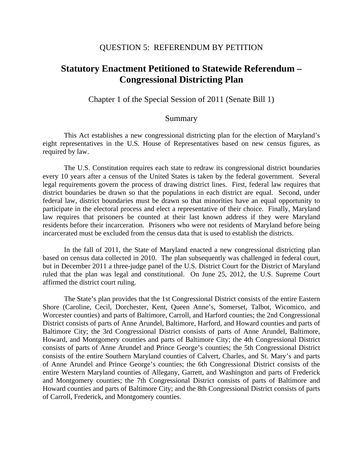## QUESTION 5: REFERENDUM BY PETITION

## **Statutory Enactment Petitioned to Statewide Referendum – Congressional Districting Plan**

Chapter 1 of the Special Session of 2011 (Senate Bill 1)

## Summary

 This Act establishes a new congressional districting plan for the election of Maryland's eight representatives in the U.S. House of Representatives based on new census figures, as required by law.

 The U.S. Constitution requires each state to redraw its congressional district boundaries every 10 years after a census of the United States is taken by the federal government. Several legal requirements govern the process of drawing district lines. First, federal law requires that district boundaries be drawn so that the populations in each district are equal. Second, under federal law, district boundaries must be drawn so that minorities have an equal opportunity to participate in the electoral process and elect a representative of their choice. Finally, Maryland law requires that prisoners be counted at their last known address if they were Maryland residents before their incarceration. Prisoners who were not residents of Maryland before being incarcerated must be excluded from the census data that is used to establish the districts.

 In the fall of 2011, the State of Maryland enacted a new congressional districting plan based on census data collected in 2010. The plan subsequently was challenged in federal court, but in December 2011 a three-judge panel of the U.S. District Court for the District of Maryland ruled that the plan was legal and constitutional. On June 25, 2012, the U.S. Supreme Court affirmed the district court ruling.

 The State's plan provides that the 1st Congressional District consists of the entire Eastern Shore (Caroline, Cecil, Dorchester, Kent, Queen Anne's, Somerset, Talbot, Wicomico, and Worcester counties) and parts of Baltimore, Carroll, and Harford counties; the 2nd Congressional District consists of parts of Anne Arundel, Baltimore, Harford, and Howard counties and parts of Baltimore City; the 3rd Congressional District consists of parts of Anne Arundel, Baltimore, Howard, and Montgomery counties and parts of Baltimore City; the 4th Congressional District consists of parts of Anne Arundel and Prince George's counties; the 5th Congressional District consists of the entire Southern Maryland counties of Calvert, Charles, and St. Mary's and parts of Anne Arundel and Prince George's counties; the 6th Congressional District consists of the entire Western Maryland counties of Allegany, Garrett, and Washington and parts of Frederick and Montgomery counties; the 7th Congressional District consists of parts of Baltimore and Howard counties and parts of Baltimore City; and the 8th Congressional District consists of parts of Carroll, Frederick, and Montgomery counties.